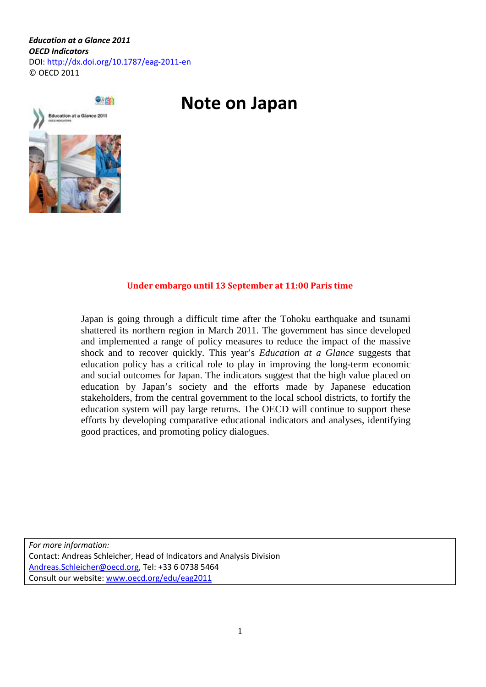*Education at a Glance 2011 OECD Indicators*  DOI: http://dx.doi.org/10.1787/eag-2011-en © OECD 2011

# **Note on Japan**



#### **Under embargo until 13 September at 11:00 Paris time**

Japan is going through a difficult time after the Tohoku earthquake and tsunami shattered its northern region in March 2011. The government has since developed and implemented a range of policy measures to reduce the impact of the massive shock and to recover quickly. This year's *Education at a Glance* suggests that education policy has a critical role to play in improving the long-term economic and social outcomes for Japan. The indicators suggest that the high value placed on education by Japan's society and the efforts made by Japanese education stakeholders, from the central government to the local school districts, to fortify the education system will pay large returns. The OECD will continue to support these efforts by developing comparative educational indicators and analyses, identifying good practices, and promoting policy dialogues.

*For more information:* Contact: Andreas Schleicher, Head of Indicators and Analysis Division [Andreas.Schleicher@oecd.org,](mailto:Andreas.Schleicher@oecd.org) Tel: +33 6 0738 5464 Consult our website: [www.oecd.org/edu/eag2011](http://www.oecd.org/edu/eag2011)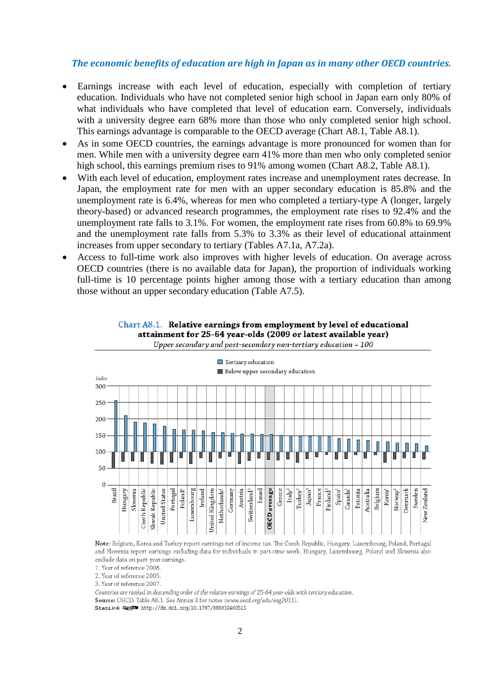#### *The economic benefits of education are high in Japan as in many other OECD countries.*

- Earnings increase with each level of education, especially with completion of tertiary education. Individuals who have not completed senior high school in Japan earn only 80% of what individuals who have completed that level of education earn. Conversely, individuals with a university degree earn 68% more than those who only completed senior high school. This earnings advantage is comparable to the OECD average (Chart A8.1, Table A8.1).
- As in some OECD countries, the earnings advantage is more pronounced for women than for men. While men with a university degree earn 41% more than men who only completed senior high school, this earnings premium rises to 91% among women (Chart A8.2, Table A8.1).
- With each level of education, employment rates increase and unemployment rates decrease. In Japan, the employment rate for men with an upper secondary education is 85.8% and the unemployment rate is 6.4%, whereas for men who completed a tertiary-type A (longer, largely theory-based) or advanced research programmes, the employment rate rises to 92.4% and the unemployment rate falls to 3.1%. For women, the employment rate rises from 60.8% to 69.9% and the unemployment rate falls from 5.3% to 3.3% as their level of educational attainment increases from upper secondary to tertiary (Tables A7.1a, A7.2a).
- Access to full-time work also improves with higher levels of education. On average across OECD countries (there is no available data for Japan), the proportion of individuals working full-time is 10 percentage points higher among those with a tertiary education than among those without an upper secondary education (Table A7.5).





Note: Belgium, Korea and Turkey report earnings net of income tax. The Czech Republic, Hungary, Luxembourg, Poland, Portugal and Slovenia report earnings excluding data for individuals in part-time work. Hungary, Luxembourg, Poland and Slovenia also exclude data on part-year earnings.

1. Year of reference 2008.

2. Year of reference 2005.

3. Year of reference 2007.

Countries are ranked in descending order of the relative earnings of 25-64 year-olds with tertiary education.

Source: OECD. Table A8.1. See Annex 3 for notes (www.oecd.org/edu/eag2011).

StatLink @ spa http://dx.doi.org/10.1787/888932460515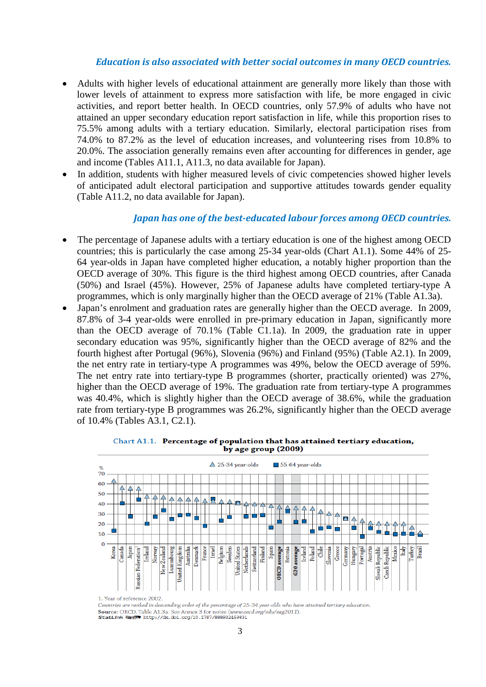#### *Education is also associated with better social outcomes in many OECD countries.*

- Adults with higher levels of educational attainment are generally more likely than those with lower levels of attainment to express more satisfaction with life, be more engaged in civic activities, and report better health. In OECD countries, only 57.9% of adults who have not attained an upper secondary education report satisfaction in life, while this proportion rises to 75.5% among adults with a tertiary education. Similarly, electoral participation rises from 74.0% to 87.2% as the level of education increases, and volunteering rises from 10.8% to 20.0%. The association generally remains even after accounting for differences in gender, age and income (Tables A11.1, A11.3, no data available for Japan).
- In addition, students with higher measured levels of civic competencies showed higher levels of anticipated adult electoral participation and supportive attitudes towards gender equality (Table A11.2, no data available for Japan).

#### *Japan has one of the best-educated labour forces among OECD countries.*

- The percentage of Japanese adults with a tertiary education is one of the highest among OECD countries; this is particularly the case among 25-34 year-olds (Chart A1.1). Some 44% of 25- 64 year-olds in Japan have completed higher education, a notably higher proportion than the OECD average of 30%. This figure is the third highest among OECD countries, after Canada (50%) and Israel (45%). However, 25% of Japanese adults have completed tertiary-type A programmes, which is only marginally higher than the OECD average of 21% (Table A1.3a).
- Japan's enrolment and graduation rates are generally higher than the OECD average. In 2009, 87.8% of 3-4 year-olds were enrolled in pre-primary education in Japan, significantly more than the OECD average of 70.1% (Table C1.1a). In 2009, the graduation rate in upper secondary education was 95%, significantly higher than the OECD average of 82% and the fourth highest after Portugal (96%), Slovenia (96%) and Finland (95%) (Table A2.1). In 2009, the net entry rate in tertiary-type A programmes was 49%, below the OECD average of 59%. The net entry rate into tertiary-type B programmes (shorter, practically oriented) was 27%, higher than the OECD average of 19%. The graduation rate from tertiary-type A programmes was 40.4%, which is slightly higher than the OECD average of 38.6%, while the graduation rate from tertiary-type B programmes was 26.2%, significantly higher than the OECD average of 10.4% (Tables A3.1, C2.1).





Countries are ranked in descending order of the percentage of 25-34 year-olds who have attained tertiary education Source: OECD. Table A1.3a. See Annex 3 for notes (www.oecd.org/edu/eag2011). StatLink @ 5 http://dx.doi.org/10.1787/888932459831

<sup>1.</sup> Year of reference 2002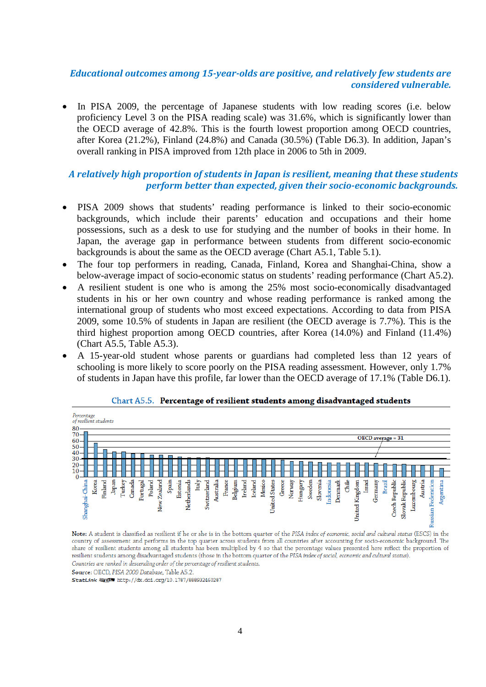# *Educational outcomes among 15-year-olds are positive, and relatively few students are considered vulnerable.*

In PISA 2009, the percentage of Japanese students with low reading scores (i.e. below proficiency Level 3 on the PISA reading scale) was 31.6%, which is significantly lower than the OECD average of 42.8%. This is the fourth lowest proportion among OECD countries, after Korea (21.2%), Finland (24.8%) and Canada (30.5%) (Table D6.3). In addition, Japan's overall ranking in PISA improved from 12th place in 2006 to 5th in 2009.

# *A relatively high proportion of students in Japan is resilient, meaning that these students perform better than expected, given their socio-economic backgrounds.*

- PISA 2009 shows that students' reading performance is linked to their socio-economic backgrounds, which include their parents' education and occupations and their home possessions, such as a desk to use for studying and the number of books in their home. In Japan, the average gap in performance between students from different socio-economic backgrounds is about the same as the OECD average (Chart A5.1, Table 5.1).
- The four top performers in reading, Canada, Finland, Korea and Shanghai-China, show a below-average impact of socio-economic status on students' reading performance (Chart A5.2).
- A resilient student is one who is among the 25% most socio-economically disadvantaged students in his or her own country and whose reading performance is ranked among the international group of students who most exceed expectations. According to data from PISA 2009, some 10.5% of students in Japan are resilient (the OECD average is 7.7%). This is the third highest proportion among OECD countries, after Korea (14.0%) and Finland (11.4%) (Chart A5.5, Table A5.3).
- A 15-year-old student whose parents or guardians had completed less than 12 years of schooling is more likely to score poorly on the PISA reading assessment. However, only 1.7% of students in Japan have this profile, far lower than the OECD average of 17.1% (Table D6.1).



#### Chart A5.5. Percentage of resilient students among disadvantaged students

Note: A student is classified as resilient if he or she is in the bottom quarter of the PISA index of economic, social and cultural status (ESCS) in the country of assessment and performs in the top quarter across students from all countries after accounting for socio-economic background. The share of resilient students among all students has been multiplied by 4 so that the percentage values presented here reflect the proportion of resilient students among disadvantaged students (those in the bottom quarter of the PISA index of social, economic and cultural status). Countries are ranked in descending order of the percentage of resilient students.

Source: OECD, PISA 2009 Database, Table A5.2.

StatLink @sp http://dx.doi.org/10.1787/888932460287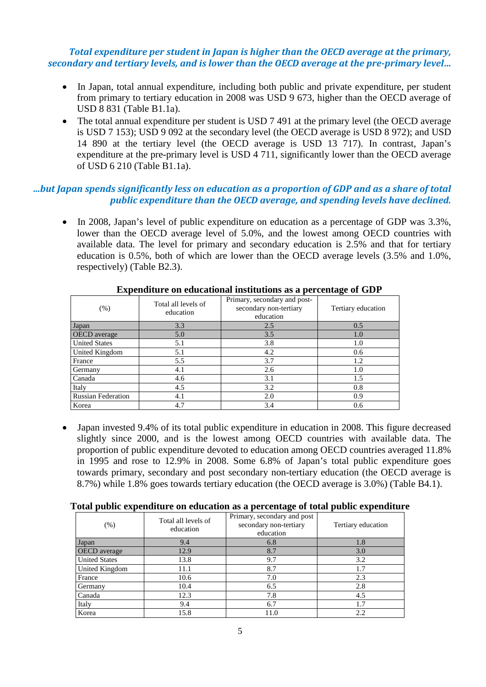### *Total expenditure per student in Japan is higher than the OECD average at the primary, secondary and tertiary levels, and is lower than the OECD average at the pre-primary level…*

- In Japan, total annual expenditure, including both public and private expenditure, per student from primary to tertiary education in 2008 was USD 9 673, higher than the OECD average of USD 8 831 (Table B1.1a).
- The total annual expenditure per student is USD 7 491 at the primary level (the OECD average is USD 7 153); USD 9 092 at the secondary level (the OECD average is USD 8 972); and USD 14 890 at the tertiary level (the OECD average is USD 13 717). In contrast, Japan's expenditure at the pre-primary level is USD 4 711, significantly lower than the OECD average of USD 6 210 (Table B1.1a).

# *…but Japan spends significantly less on education as a proportion of GDP and as a share of total public expenditure than the OECD average, and spending levels have declined.*

In 2008, Japan's level of public expenditure on education as a percentage of GDP was  $3.3\%$ . lower than the OECD average level of 5.0%, and the lowest among OECD countries with available data. The level for primary and secondary education is 2.5% and that for tertiary education is 0.5%, both of which are lower than the OECD average levels (3.5% and 1.0%, respectively) (Table B2.3).

| $(\% )$                   | Total all levels of<br>education | Primary, secondary and post-<br>secondary non-tertiary<br>education | Tertiary education |  |  |  |  |  |  |  |
|---------------------------|----------------------------------|---------------------------------------------------------------------|--------------------|--|--|--|--|--|--|--|
| Japan                     | 3.3                              | 2.5                                                                 | 0.5                |  |  |  |  |  |  |  |
| <b>OECD</b> average       | 5.0                              | 3.5                                                                 | 1.0                |  |  |  |  |  |  |  |
| <b>United States</b>      | 5.1                              | 3.8                                                                 | 1.0                |  |  |  |  |  |  |  |
| United Kingdom            | 5.1                              | 4.2                                                                 | 0.6                |  |  |  |  |  |  |  |
| France                    | 5.5                              | 3.7                                                                 | 1.2                |  |  |  |  |  |  |  |
| Germany                   | 4.1                              | 2.6                                                                 | 1.0                |  |  |  |  |  |  |  |
| Canada                    | 4.6                              | 3.1                                                                 | 1.5                |  |  |  |  |  |  |  |
| Italy                     | 4.5                              | 3.2                                                                 | 0.8                |  |  |  |  |  |  |  |
| <b>Russian Federation</b> | 4.1                              | 2.0                                                                 | 0.9                |  |  |  |  |  |  |  |
| Korea                     | 4.7                              | 3.4                                                                 | 0.6                |  |  |  |  |  |  |  |

#### **Expenditure on educational institutions as a percentage of GDP**

• Japan invested 9.4% of its total public expenditure in education in 2008. This figure decreased slightly since 2000, and is the lowest among OECD countries with available data. The proportion of public expenditure devoted to education among OECD countries averaged 11.8% in 1995 and rose to 12.9% in 2008. Some 6.8% of Japan's total public expenditure goes towards primary, secondary and post secondary non-tertiary education (the OECD average is 8.7%) while 1.8% goes towards tertiary education (the OECD average is 3.0%) (Table B4.1).

#### **Total public expenditure on education as a percentage of total public expenditure**

| $(\% )$              | Total all levels of<br>education | Primary, secondary and post<br>secondary non-tertiary<br>education | Tertiary education |  |  |  |  |  |  |  |
|----------------------|----------------------------------|--------------------------------------------------------------------|--------------------|--|--|--|--|--|--|--|
| Japan                | 9.4                              | 6.8                                                                | 1.8                |  |  |  |  |  |  |  |
| <b>OECD</b> average  | 12.9                             | 8.7                                                                | 3.0                |  |  |  |  |  |  |  |
| <b>United States</b> | 13.8                             | 9.7                                                                | 3.2                |  |  |  |  |  |  |  |
| United Kingdom       | 11.1                             | 8.7                                                                | 1.7                |  |  |  |  |  |  |  |
| France               | 10.6                             | 7.0                                                                | 2.3                |  |  |  |  |  |  |  |
| Germany              | 10.4                             | 6.5                                                                | 2.8                |  |  |  |  |  |  |  |
| Canada               | 12.3                             | 7.8                                                                | 4.5                |  |  |  |  |  |  |  |
| Italy                | 9.4                              | 6.7                                                                | 1.7                |  |  |  |  |  |  |  |
| Korea                | 15.8                             | 11.0                                                               | 2.2                |  |  |  |  |  |  |  |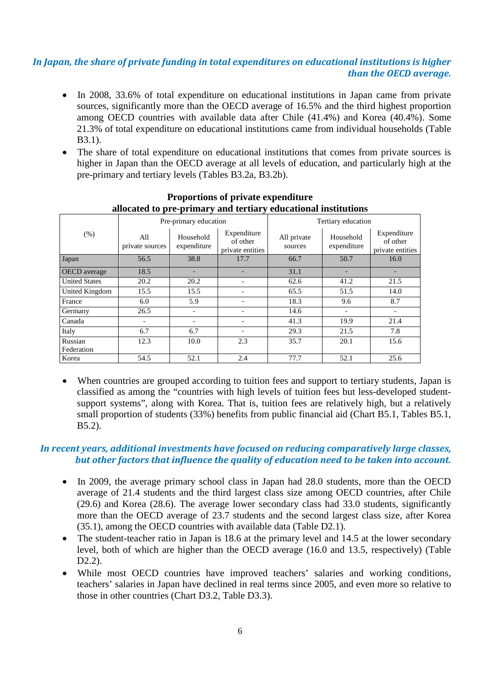#### *In Japan, the share of private funding in total expenditures on educational institutions is higher than the OECD average.*

- In 2008, 33.6% of total expenditure on educational institutions in Japan came from private sources, significantly more than the OECD average of 16.5% and the third highest proportion among OECD countries with available data after Chile (41.4%) and Korea (40.4%). Some 21.3% of total expenditure on educational institutions came from individual households (Table B3.1).
- The share of total expenditure on educational institutions that comes from private sources is higher in Japan than the OECD average at all levels of education, and particularly high at the pre-primary and tertiary levels (Tables B3.2a, B3.2b).

|                      |                        | Pre-primary education    |                                             | Tertiary education     |                          |                                             |  |  |  |  |  |  |  |
|----------------------|------------------------|--------------------------|---------------------------------------------|------------------------|--------------------------|---------------------------------------------|--|--|--|--|--|--|--|
| $(\%)$               | All<br>private sources | Household<br>expenditure | Expenditure<br>of other<br>private entities | All private<br>sources | Household<br>expenditure | Expenditure<br>of other<br>private entities |  |  |  |  |  |  |  |
| Japan                | 56.5                   | 38.8                     | 17.7                                        | 66.7                   | 50.7                     | 16.0                                        |  |  |  |  |  |  |  |
| <b>OECD</b> average  | 18.5                   |                          |                                             | 31.1                   | -                        |                                             |  |  |  |  |  |  |  |
| <b>United States</b> | 20.2                   | 20.2                     |                                             | 62.6                   | 41.2                     | 21.5                                        |  |  |  |  |  |  |  |
| United Kingdom       | 15.5                   | 15.5                     |                                             | 65.5                   | 51.5                     | 14.0                                        |  |  |  |  |  |  |  |
| France               | 6.0                    | 5.9                      |                                             | 18.3                   | 9.6                      | 8.7                                         |  |  |  |  |  |  |  |
| Germany              | 26.5                   |                          |                                             | 14.6                   |                          |                                             |  |  |  |  |  |  |  |
| Canada               |                        |                          |                                             | 41.3                   | 19.9                     | 21.4                                        |  |  |  |  |  |  |  |
| Italy                | 6.7                    | 6.7                      |                                             | 29.3                   | 21.5                     | 7.8                                         |  |  |  |  |  |  |  |
| Russian              | 12.3                   | 10.0                     | 2.3                                         | 35.7                   | 20.1                     | 15.6                                        |  |  |  |  |  |  |  |
| Federation           |                        |                          |                                             |                        |                          |                                             |  |  |  |  |  |  |  |
| Korea                | 54.5                   | 52.1                     | 2.4                                         | 77.7                   | 52.1                     | 25.6                                        |  |  |  |  |  |  |  |

#### **Proportions of private expenditure allocated to pre-primary and tertiary educational institutions**

• When countries are grouped according to tuition fees and support to tertiary students, Japan is classified as among the "countries with high levels of tuition fees but less-developed studentsupport systems", along with Korea. That is, tuition fees are relatively high, but a relatively small proportion of students (33%) benefits from public financial aid (Chart B5.1, Tables B5.1, B5.2).

## *In recent years, additional investments have focused on reducing comparatively large classes, but other factors that influence the quality of education need to be taken into account.*

- In 2009, the average primary school class in Japan had 28.0 students, more than the OECD average of 21.4 students and the third largest class size among OECD countries, after Chile (29.6) and Korea (28.6). The average lower secondary class had 33.0 students, significantly more than the OECD average of 23.7 students and the second largest class size, after Korea (35.1), among the OECD countries with available data (Table D2.1).
- The student-teacher ratio in Japan is 18.6 at the primary level and 14.5 at the lower secondary level, both of which are higher than the OECD average (16.0 and 13.5, respectively) (Table D<sub>2.2</sub>).
- While most OECD countries have improved teachers' salaries and working conditions, teachers' salaries in Japan have declined in real terms since 2005, and even more so relative to those in other countries (Chart D3.2, Table D3.3).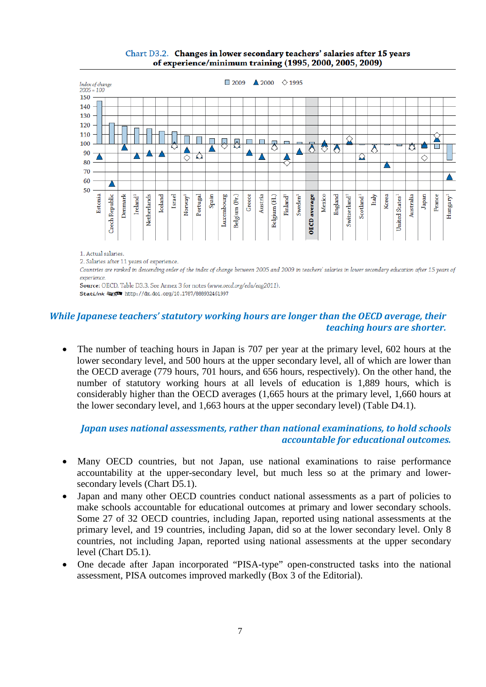

#### Chart D3.2. Changes in lower secondary teachers' salaries after 15 years of experience/minimum training (1995, 2000, 2005, 2009)

Countries are ranked in descending order of the index of change between 2005 and 2009 in teachers' salaries in lower secondary education after 15 years of experience.

Source: OECD. Table D3.3. See Annex 3 for notes (www.oecd.org/edu/eag2011). StatLink @ 5 http://dx.doi.org/10.1787/888932461997

## *While Japanese teachers' statutory working hours are longer than the OECD average, their teaching hours are shorter.*

The number of teaching hours in Japan is 707 per year at the primary level, 602 hours at the lower secondary level, and 500 hours at the upper secondary level, all of which are lower than the OECD average (779 hours, 701 hours, and 656 hours, respectively). On the other hand, the number of statutory working hours at all levels of education is 1,889 hours, which is considerably higher than the OECD averages (1,665 hours at the primary level, 1,660 hours at the lower secondary level, and 1,663 hours at the upper secondary level) (Table D4.1).

## *Japan uses national assessments, rather than national examinations, to hold schools accountable for educational outcomes.*

- Many OECD countries, but not Japan, use national examinations to raise performance accountability at the upper-secondary level, but much less so at the primary and lowersecondary levels (Chart D5.1).
- Japan and many other OECD countries conduct national assessments as a part of policies to make schools accountable for educational outcomes at primary and lower secondary schools. Some 27 of 32 OECD countries, including Japan, reported using national assessments at the primary level, and 19 countries, including Japan, did so at the lower secondary level. Only 8 countries, not including Japan, reported using national assessments at the upper secondary level (Chart D5.1).
- One decade after Japan incorporated "PISA-type" open-constructed tasks into the national assessment, PISA outcomes improved markedly (Box 3 of the Editorial).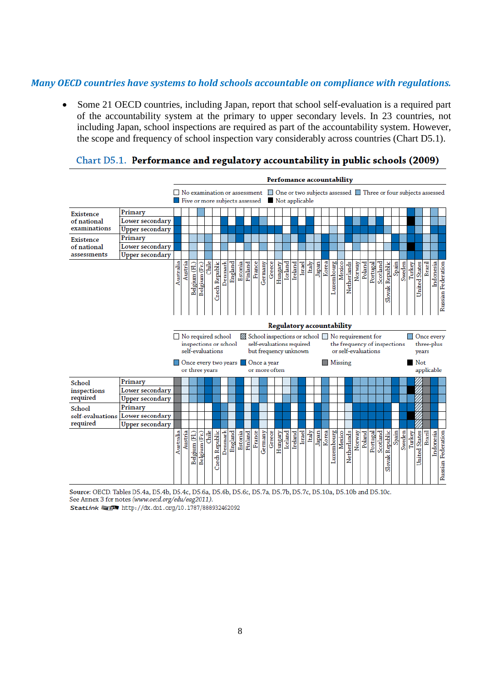#### *Many OECD countries have systems to hold schools accountable on compliance with regulations.*

• Some 21 OECD countries, including Japan, report that school self-evaluation is a required part of the accountability system at the primary to upper secondary levels. In 23 countries, not including Japan, school inspections are required as part of the accountability system. However, the scope and frequency of school inspection vary considerably across countries (Chart D5.1).

|                       |                        | Perfomance accountability |         |               |                                                                                                                                               |       |                |         |         |         |         |        |                                                                                |        |         |         |         |        |       |       |                                                                                                                |            |        |             |        |        |                                 |          |                                                                                                                                                                                                    |       |        |                                                                                                                |                      |        |           |                    |  |  |  |
|-----------------------|------------------------|---------------------------|---------|---------------|-----------------------------------------------------------------------------------------------------------------------------------------------|-------|----------------|---------|---------|---------|---------|--------|--------------------------------------------------------------------------------|--------|---------|---------|---------|--------|-------|-------|----------------------------------------------------------------------------------------------------------------|------------|--------|-------------|--------|--------|---------------------------------|----------|----------------------------------------------------------------------------------------------------------------------------------------------------------------------------------------------------|-------|--------|----------------------------------------------------------------------------------------------------------------|----------------------|--------|-----------|--------------------|--|--|--|
|                       |                        |                           |         |               | Five or more subjects assessed Not applicable                                                                                                 |       |                |         |         |         |         |        |                                                                                |        |         |         |         |        |       |       |                                                                                                                |            |        |             |        |        |                                 |          |                                                                                                                                                                                                    |       |        | $\Box$ No examination or assessment $\Box$ One or two subjects assessed $\Box$ Three or four subjects assessed |                      |        |           |                    |  |  |  |
| <b>Existence</b>      | Primary                |                           |         |               |                                                                                                                                               |       |                |         |         |         |         |        |                                                                                |        |         |         |         |        |       |       |                                                                                                                |            |        |             |        |        |                                 |          |                                                                                                                                                                                                    |       |        |                                                                                                                |                      |        |           |                    |  |  |  |
| of national           | Lower secondary        |                           |         |               |                                                                                                                                               |       |                |         |         |         |         |        |                                                                                |        |         |         |         |        |       |       |                                                                                                                |            |        |             |        |        |                                 |          |                                                                                                                                                                                                    |       |        |                                                                                                                |                      |        |           |                    |  |  |  |
| examinations          | Upper secondary        |                           |         |               |                                                                                                                                               |       |                |         |         |         |         |        |                                                                                |        |         |         |         |        |       |       |                                                                                                                |            |        |             |        |        |                                 |          |                                                                                                                                                                                                    |       |        |                                                                                                                |                      |        |           |                    |  |  |  |
| <b>Existence</b>      | Primary                |                           |         |               |                                                                                                                                               |       |                |         |         |         |         |        |                                                                                |        |         |         |         |        |       |       |                                                                                                                |            |        |             |        |        |                                 |          |                                                                                                                                                                                                    |       |        |                                                                                                                |                      |        |           |                    |  |  |  |
| of national           | Lower secondary        |                           |         |               |                                                                                                                                               |       |                |         |         |         |         |        |                                                                                |        |         |         |         |        |       |       |                                                                                                                |            |        |             |        |        |                                 |          |                                                                                                                                                                                                    |       |        |                                                                                                                |                      |        |           |                    |  |  |  |
| assessments           | <b>Upper secondary</b> |                           |         |               |                                                                                                                                               |       |                |         |         |         |         |        |                                                                                |        |         |         |         |        |       |       |                                                                                                                |            |        |             |        |        |                                 |          |                                                                                                                                                                                                    |       |        |                                                                                                                |                      |        |           |                    |  |  |  |
|                       |                        | Australia                 | Austria | Belgium (Fl.) | Belgium (Fr.)<br>No required school<br>inspections or school<br>self-evaluations<br>Once every two years <b>Once a year</b><br>or three years | Chile | Czech Republic | Denmark | England | Estonia | Finland | France | Germany<br>self-evaluations required<br>but frequency unknown<br>or more often | Greece | Hungary | Iceland | Ireland | Israel | Italy | Japan | Korea<br><b>Regulatory accountability</b><br>School inspections or school No requirement for<br><b>Missing</b> | Luxembourg | Mexico | Netherlands | Norway | Poland | Portugal<br>or self-evaluations | Scotland | Indonesia<br>Russian Federation<br>Spain<br>Sweden<br><b>United States</b><br>Brazil<br>ovak Republic<br>Turkey<br>ದ<br>□ Once every<br>the frequency of inspections<br>three-plus<br>years<br>Not |       |        |                                                                                                                |                      |        |           |                    |  |  |  |
|                       | Primary                |                           |         |               |                                                                                                                                               |       |                |         |         |         |         |        |                                                                                |        |         |         |         |        |       |       |                                                                                                                |            |        |             |        |        |                                 |          |                                                                                                                                                                                                    |       |        |                                                                                                                | applicable           |        |           |                    |  |  |  |
| School<br>inspections | Lower secondary        |                           |         |               |                                                                                                                                               |       |                |         |         |         |         |        |                                                                                |        |         |         |         |        |       |       |                                                                                                                |            |        |             |        |        |                                 |          |                                                                                                                                                                                                    |       |        |                                                                                                                |                      |        |           |                    |  |  |  |
| required              | Upper secondary        |                           |         |               |                                                                                                                                               |       |                |         |         |         |         |        |                                                                                |        |         |         |         |        |       |       |                                                                                                                |            |        |             |        |        |                                 |          |                                                                                                                                                                                                    |       |        |                                                                                                                |                      |        |           |                    |  |  |  |
| School                | Primary                |                           |         |               |                                                                                                                                               |       |                |         |         |         |         |        |                                                                                |        |         |         |         |        |       |       |                                                                                                                |            |        |             |        |        |                                 |          |                                                                                                                                                                                                    |       |        |                                                                                                                |                      |        |           |                    |  |  |  |
| self-evaluations      | Lower secondary        |                           |         |               |                                                                                                                                               |       |                |         |         |         |         |        |                                                                                |        |         |         |         |        |       |       |                                                                                                                |            |        |             |        |        |                                 |          |                                                                                                                                                                                                    |       |        |                                                                                                                |                      |        |           |                    |  |  |  |
| required              | Upper secondary        |                           |         |               |                                                                                                                                               |       |                |         |         |         |         |        |                                                                                |        |         |         |         |        |       |       |                                                                                                                |            |        |             |        |        |                                 |          |                                                                                                                                                                                                    |       |        |                                                                                                                |                      |        |           |                    |  |  |  |
|                       |                        | Australia                 | Austria | Belgium (Fl.) | Belgium (Fr.)                                                                                                                                 | Chile | Czech Republic | Denmark | England | Estonia | Finland | France | Germany                                                                        | Greece | Hungary | Iceland | Ireland | Israel | Italy | Japan | Korea                                                                                                          | Luxembourg | Mexico | Netherlands | Norway | Poland | Portugal                        | Scotland | Slovak Republic                                                                                                                                                                                    | Spain | Sweden | Turkey                                                                                                         | <b>United States</b> | Brazil | Indonesia | Russian Federation |  |  |  |

#### Chart D5.1. Performance and regulatory accountability in public schools (2009)

Source: OECD. Tables D5.4a, D5.4b, D5.4c, D5.6a, D5.6b, D5.6c, D5.7a, D5.7b, D5.7c, D5.10a, D5.10b and D5.10c.

See Annex 3 for notes (www.oecd.org/edu/eag2011).

StatLink @ 5 http://dx.doi.org/10.1787/888932462092